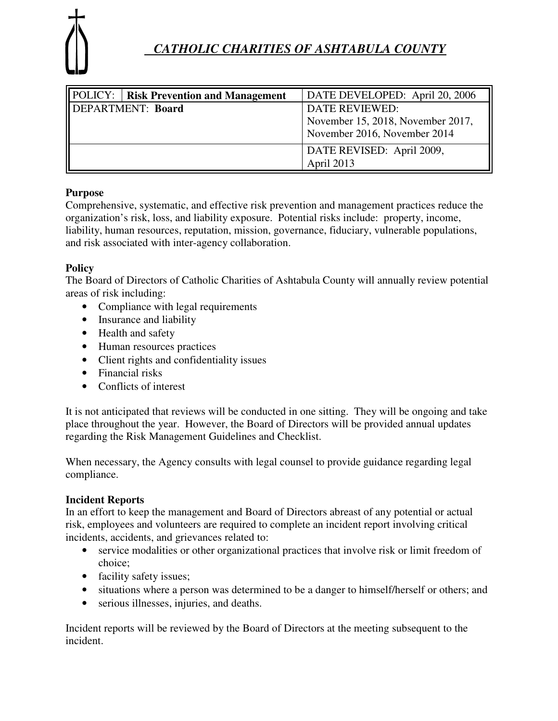

# *CATHOLIC CHARITIES OF ASHTABULA COUNTY*

|                   | <b>POLICY:</b>   Risk Prevention and Management | DATE DEVELOPED: April 20, 2006    |  |
|-------------------|-------------------------------------------------|-----------------------------------|--|
| DEPARTMENT: Board |                                                 | <b>DATE REVIEWED:</b>             |  |
|                   |                                                 | November 15, 2018, November 2017, |  |
|                   |                                                 | November 2016, November 2014      |  |
|                   |                                                 | DATE REVISED: April 2009,         |  |
|                   |                                                 | April 2013                        |  |

## **Purpose**

Comprehensive, systematic, and effective risk prevention and management practices reduce the organization's risk, loss, and liability exposure. Potential risks include: property, income, liability, human resources, reputation, mission, governance, fiduciary, vulnerable populations, and risk associated with inter-agency collaboration.

## **Policy**

The Board of Directors of Catholic Charities of Ashtabula County will annually review potential areas of risk including:

- Compliance with legal requirements
- Insurance and liability
- Health and safety
- Human resources practices
- Client rights and confidentiality issues
- Financial risks
- Conflicts of interest

It is not anticipated that reviews will be conducted in one sitting. They will be ongoing and take place throughout the year. However, the Board of Directors will be provided annual updates regarding the Risk Management Guidelines and Checklist.

When necessary, the Agency consults with legal counsel to provide guidance regarding legal compliance.

#### **Incident Reports**

In an effort to keep the management and Board of Directors abreast of any potential or actual risk, employees and volunteers are required to complete an incident report involving critical incidents, accidents, and grievances related to:

- service modalities or other organizational practices that involve risk or limit freedom of choice;
- facility safety issues;
- situations where a person was determined to be a danger to himself/herself or others; and
- serious illnesses, injuries, and deaths.

Incident reports will be reviewed by the Board of Directors at the meeting subsequent to the incident.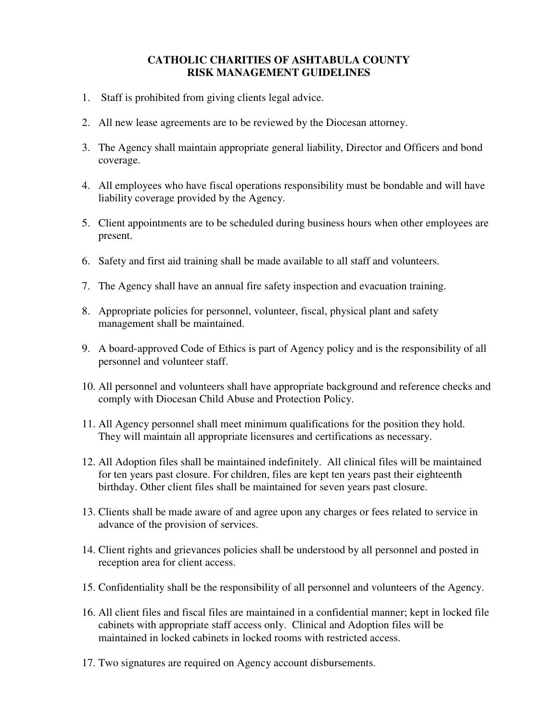#### **CATHOLIC CHARITIES OF ASHTABULA COUNTY RISK MANAGEMENT GUIDELINES**

- 1. Staff is prohibited from giving clients legal advice.
- 2. All new lease agreements are to be reviewed by the Diocesan attorney.
- 3. The Agency shall maintain appropriate general liability, Director and Officers and bond coverage.
- 4. All employees who have fiscal operations responsibility must be bondable and will have liability coverage provided by the Agency.
- 5. Client appointments are to be scheduled during business hours when other employees are present.
- 6. Safety and first aid training shall be made available to all staff and volunteers.
- 7. The Agency shall have an annual fire safety inspection and evacuation training.
- 8. Appropriate policies for personnel, volunteer, fiscal, physical plant and safety management shall be maintained.
- 9. A board-approved Code of Ethics is part of Agency policy and is the responsibility of all personnel and volunteer staff.
- 10. All personnel and volunteers shall have appropriate background and reference checks and comply with Diocesan Child Abuse and Protection Policy.
- 11. All Agency personnel shall meet minimum qualifications for the position they hold. They will maintain all appropriate licensures and certifications as necessary.
- 12. All Adoption files shall be maintained indefinitely. All clinical files will be maintained for ten years past closure. For children, files are kept ten years past their eighteenth birthday. Other client files shall be maintained for seven years past closure.
- 13. Clients shall be made aware of and agree upon any charges or fees related to service in advance of the provision of services.
- 14. Client rights and grievances policies shall be understood by all personnel and posted in reception area for client access.
- 15. Confidentiality shall be the responsibility of all personnel and volunteers of the Agency.
- 16. All client files and fiscal files are maintained in a confidential manner; kept in locked file cabinets with appropriate staff access only. Clinical and Adoption files will be maintained in locked cabinets in locked rooms with restricted access.
- 17. Two signatures are required on Agency account disbursements.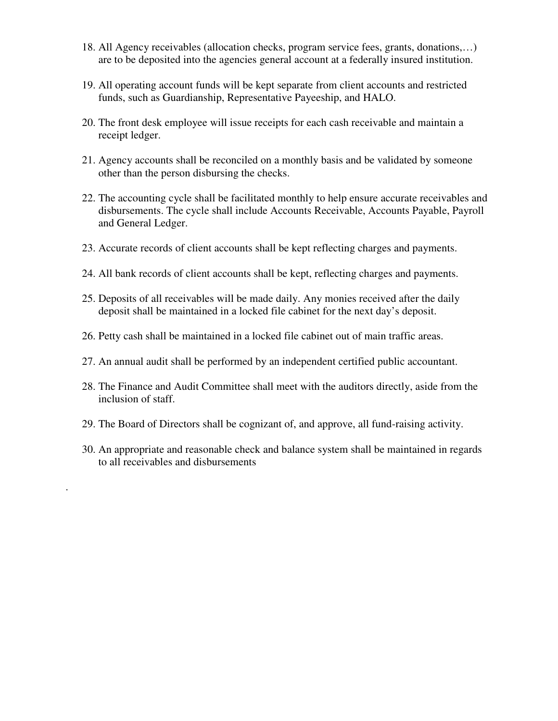- 18. All Agency receivables (allocation checks, program service fees, grants, donations,…) are to be deposited into the agencies general account at a federally insured institution.
- 19. All operating account funds will be kept separate from client accounts and restricted funds, such as Guardianship, Representative Payeeship, and HALO.
- 20. The front desk employee will issue receipts for each cash receivable and maintain a receipt ledger.
- 21. Agency accounts shall be reconciled on a monthly basis and be validated by someone other than the person disbursing the checks.
- 22. The accounting cycle shall be facilitated monthly to help ensure accurate receivables and disbursements. The cycle shall include Accounts Receivable, Accounts Payable, Payroll and General Ledger.
- 23. Accurate records of client accounts shall be kept reflecting charges and payments.
- 24. All bank records of client accounts shall be kept, reflecting charges and payments.
- 25. Deposits of all receivables will be made daily. Any monies received after the daily deposit shall be maintained in a locked file cabinet for the next day's deposit.
- 26. Petty cash shall be maintained in a locked file cabinet out of main traffic areas.
- 27. An annual audit shall be performed by an independent certified public accountant.
- 28. The Finance and Audit Committee shall meet with the auditors directly, aside from the inclusion of staff.
- 29. The Board of Directors shall be cognizant of, and approve, all fund-raising activity.

.

30. An appropriate and reasonable check and balance system shall be maintained in regards to all receivables and disbursements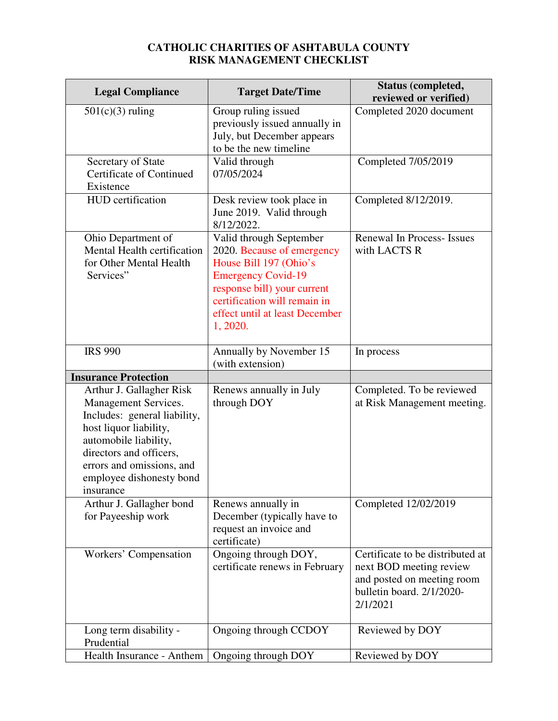## **CATHOLIC CHARITIES OF ASHTABULA COUNTY RISK MANAGEMENT CHECKLIST**

| <b>Legal Compliance</b>                                                                                                                                                                                                              | <b>Target Date/Time</b>                                                                                                                                                                                                   | <b>Status (completed,</b><br>reviewed or verified)                                                                                 |
|--------------------------------------------------------------------------------------------------------------------------------------------------------------------------------------------------------------------------------------|---------------------------------------------------------------------------------------------------------------------------------------------------------------------------------------------------------------------------|------------------------------------------------------------------------------------------------------------------------------------|
| $501(c)(3)$ ruling                                                                                                                                                                                                                   | Group ruling issued<br>previously issued annually in<br>July, but December appears<br>to be the new timeline                                                                                                              | Completed 2020 document                                                                                                            |
| Secretary of State<br><b>Certificate of Continued</b><br>Existence                                                                                                                                                                   | Valid through<br>07/05/2024                                                                                                                                                                                               | Completed 7/05/2019                                                                                                                |
| HUD certification                                                                                                                                                                                                                    | Desk review took place in<br>June 2019. Valid through<br>8/12/2022.                                                                                                                                                       | Completed 8/12/2019.                                                                                                               |
| Ohio Department of<br>Mental Health certification<br>for Other Mental Health<br>Services"                                                                                                                                            | Valid through September<br>2020. Because of emergency<br>House Bill 197 (Ohio's<br><b>Emergency Covid-19</b><br>response bill) your current<br>certification will remain in<br>effect until at least December<br>1, 2020. | Renewal In Process- Issues<br>with LACTS R                                                                                         |
| <b>IRS 990</b>                                                                                                                                                                                                                       | Annually by November 15                                                                                                                                                                                                   | In process                                                                                                                         |
| <b>Insurance Protection</b>                                                                                                                                                                                                          | (with extension)                                                                                                                                                                                                          |                                                                                                                                    |
| Arthur J. Gallagher Risk<br>Management Services.<br>Includes: general liability,<br>host liquor liability,<br>automobile liability,<br>directors and officers,<br>errors and omissions, and<br>employee dishonesty bond<br>insurance | Renews annually in July<br>through DOY                                                                                                                                                                                    | Completed. To be reviewed<br>at Risk Management meeting.                                                                           |
| Arthur J. Gallagher bond<br>for Payeeship work                                                                                                                                                                                       | Renews annually in<br>December (typically have to<br>request an invoice and<br>certificate)                                                                                                                               | Completed 12/02/2019                                                                                                               |
| Workers' Compensation                                                                                                                                                                                                                | Ongoing through DOY,<br>certificate renews in February                                                                                                                                                                    | Certificate to be distributed at<br>next BOD meeting review<br>and posted on meeting room<br>bulletin board. 2/1/2020-<br>2/1/2021 |
| Long term disability -<br>Prudential                                                                                                                                                                                                 | Ongoing through CCDOY                                                                                                                                                                                                     | Reviewed by DOY                                                                                                                    |
| Health Insurance - Anthem                                                                                                                                                                                                            | Ongoing through DOY                                                                                                                                                                                                       | Reviewed by DOY                                                                                                                    |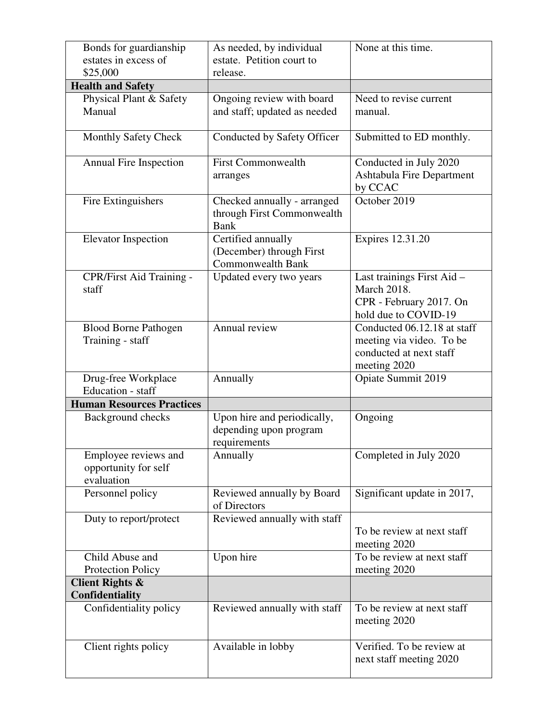| Bonds for guardianship<br>estates in excess of             | As needed, by individual<br>estate. Petition court to                      | None at this time.                                                                                  |
|------------------------------------------------------------|----------------------------------------------------------------------------|-----------------------------------------------------------------------------------------------------|
| \$25,000                                                   | release.                                                                   |                                                                                                     |
| <b>Health and Safety</b>                                   |                                                                            |                                                                                                     |
| Physical Plant & Safety<br>Manual                          | Ongoing review with board<br>and staff; updated as needed                  | Need to revise current<br>manual.                                                                   |
| <b>Monthly Safety Check</b>                                | Conducted by Safety Officer                                                | Submitted to ED monthly.                                                                            |
| <b>Annual Fire Inspection</b>                              | <b>First Commonwealth</b><br>arranges                                      | Conducted in July 2020<br><b>Ashtabula Fire Department</b><br>by CCAC                               |
| Fire Extinguishers                                         | Checked annually - arranged<br>through First Commonwealth<br><b>Bank</b>   | October 2019                                                                                        |
| <b>Elevator Inspection</b>                                 | Certified annually<br>(December) through First<br><b>Commonwealth Bank</b> | Expires 12.31.20                                                                                    |
| CPR/First Aid Training -<br>staff                          | Updated every two years                                                    | Last trainings First Aid -<br><b>March 2018.</b><br>CPR - February 2017. On<br>hold due to COVID-19 |
| <b>Blood Borne Pathogen</b><br>Training - staff            | Annual review                                                              | Conducted 06.12.18 at staff<br>meeting via video. To be<br>conducted at next staff<br>meeting 2020  |
| Drug-free Workplace<br>Education - staff                   | Annually                                                                   | Opiate Summit 2019                                                                                  |
| <b>Human Resources Practices</b>                           |                                                                            |                                                                                                     |
| Background checks                                          | Upon hire and periodically,<br>depending upon program<br>requirements      | Ongoing                                                                                             |
| Employee reviews and<br>opportunity for self<br>evaluation | Annually                                                                   | Completed in July 2020                                                                              |
| Personnel policy                                           | Reviewed annually by Board<br>of Directors                                 | Significant update in 2017,                                                                         |
| Duty to report/protect                                     | Reviewed annually with staff                                               | To be review at next staff<br>meeting 2020                                                          |
| Child Abuse and<br><b>Protection Policy</b>                | Upon hire                                                                  | To be review at next staff<br>meeting 2020                                                          |
| <b>Client Rights &amp;</b><br>Confidentiality              |                                                                            |                                                                                                     |
| Confidentiality policy                                     | Reviewed annually with staff                                               | To be review at next staff<br>meeting 2020                                                          |
| Client rights policy                                       | Available in lobby                                                         | Verified. To be review at<br>next staff meeting 2020                                                |